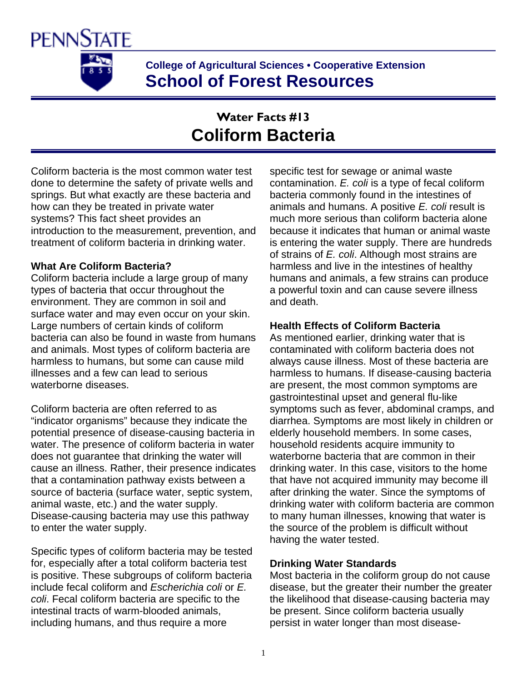

**College of Agricultural Sciences • Cooperative Extension School of Forest Resources** 

# **Water Facts #13 Coliform Bacteria**

Coliform bacteria is the most common water test done to determine the safety of private wells and springs. But what exactly are these bacteria and how can they be treated in private water systems? This fact sheet provides an introduction to the measurement, prevention, and treatment of coliform bacteria in drinking water.

## **What Are Coliform Bacteria?**

Coliform bacteria include a large group of many types of bacteria that occur throughout the environment. They are common in soil and surface water and may even occur on your skin. Large numbers of certain kinds of coliform bacteria can also be found in waste from humans and animals. Most types of coliform bacteria are harmless to humans, but some can cause mild illnesses and a few can lead to serious waterborne diseases.

Coliform bacteria are often referred to as "indicator organisms" because they indicate the potential presence of disease-causing bacteria in water. The presence of coliform bacteria in water does not guarantee that drinking the water will cause an illness. Rather, their presence indicates that a contamination pathway exists between a source of bacteria (surface water, septic system, animal waste, etc.) and the water supply. Disease-causing bacteria may use this pathway to enter the water supply.

Specific types of coliform bacteria may be tested for, especially after a total coliform bacteria test is positive. These subgroups of coliform bacteria include fecal coliform and *Escherichia coli* or *E. coli*. Fecal coliform bacteria are specific to the intestinal tracts of warm-blooded animals, including humans, and thus require a more

specific test for sewage or animal waste contamination. *E. coli* is a type of fecal coliform bacteria commonly found in the intestines of animals and humans. A positive *E. coli* result is much more serious than coliform bacteria alone because it indicates that human or animal waste is entering the water supply. There are hundreds of strains of *E. coli*. Although most strains are harmless and live in the intestines of healthy humans and animals, a few strains can produce a powerful toxin and can cause severe illness and death.

## **Health Effects of Coliform Bacteria**

As mentioned earlier, drinking water that is contaminated with coliform bacteria does not always cause illness. Most of these bacteria are harmless to humans. If disease-causing bacteria are present, the most common symptoms are gastrointestinal upset and general flu-like symptoms such as fever, abdominal cramps, and diarrhea. Symptoms are most likely in children or elderly household members. In some cases, household residents acquire immunity to waterborne bacteria that are common in their drinking water. In this case, visitors to the home that have not acquired immunity may become ill after drinking the water. Since the symptoms of drinking water with coliform bacteria are common to many human illnesses, knowing that water is the source of the problem is difficult without having the water tested.

## **Drinking Water Standards**

Most bacteria in the coliform group do not cause disease, but the greater their number the greater the likelihood that disease-causing bacteria may be present. Since coliform bacteria usually persist in water longer than most disease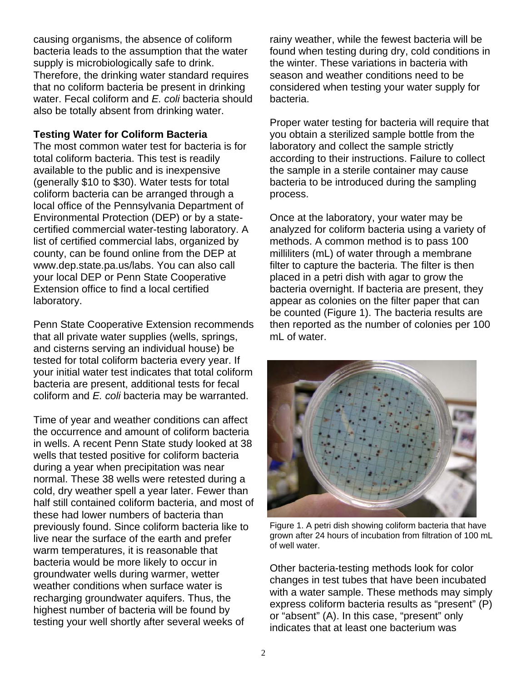causing organisms, the absence of coliform bacteria leads to the assumption that the water supply is microbiologically safe to drink. Therefore, the drinking water standard requires that no coliform bacteria be present in drinking water. Fecal coliform and *E. coli* bacteria should also be totally absent from drinking water.

### **Testing Water for Coliform Bacteria**

The most common water test for bacteria is for total coliform bacteria. This test is readily available to the public and is inexpensive (generally \$10 to \$30). Water tests for total coliform bacteria can be arranged through a local office of the Pennsylvania Department of Environmental Protection (DEP) or by a statecertified commercial water-testing laboratory. A list of certified commercial labs, organized by county, can be found online from the DEP at www.dep.state.pa.us/labs. You can also call your local DEP or Penn State Cooperative Extension office to find a local certified laboratory.

Penn State Cooperative Extension recommends that all private water supplies (wells, springs, and cisterns serving an individual house) be tested for total coliform bacteria every year. If your initial water test indicates that total coliform bacteria are present, additional tests for fecal coliform and *E. coli* bacteria may be warranted.

Time of year and weather conditions can affect the occurrence and amount of coliform bacteria in wells. A recent Penn State study looked at 38 wells that tested positive for coliform bacteria during a year when precipitation was near normal. These 38 wells were retested during a cold, dry weather spell a year later. Fewer than half still contained coliform bacteria, and most of these had lower numbers of bacteria than previously found. Since coliform bacteria like to live near the surface of the earth and prefer warm temperatures, it is reasonable that bacteria would be more likely to occur in groundwater wells during warmer, wetter weather conditions when surface water is recharging groundwater aquifers. Thus, the highest number of bacteria will be found by testing your well shortly after several weeks of

rainy weather, while the fewest bacteria will be found when testing during dry, cold conditions in the winter. These variations in bacteria with season and weather conditions need to be considered when testing your water supply for bacteria.

Proper water testing for bacteria will require that you obtain a sterilized sample bottle from the laboratory and collect the sample strictly according to their instructions. Failure to collect the sample in a sterile container may cause bacteria to be introduced during the sampling process.

Once at the laboratory, your water may be analyzed for coliform bacteria using a variety of methods. A common method is to pass 100 milliliters (mL) of water through a membrane filter to capture the bacteria. The filter is then placed in a petri dish with agar to grow the bacteria overnight. If bacteria are present, they appear as colonies on the filter paper that can be counted (Figure 1). The bacteria results are then reported as the number of colonies per 100 mL of water.



Figure 1. A petri dish showing coliform bacteria that have grown after 24 hours of incubation from filtration of 100 mL of well water.

Other bacteria-testing methods look for color changes in test tubes that have been incubated with a water sample. These methods may simply express coliform bacteria results as "present" (P) or "absent" (A). In this case, "present" only indicates that at least one bacterium was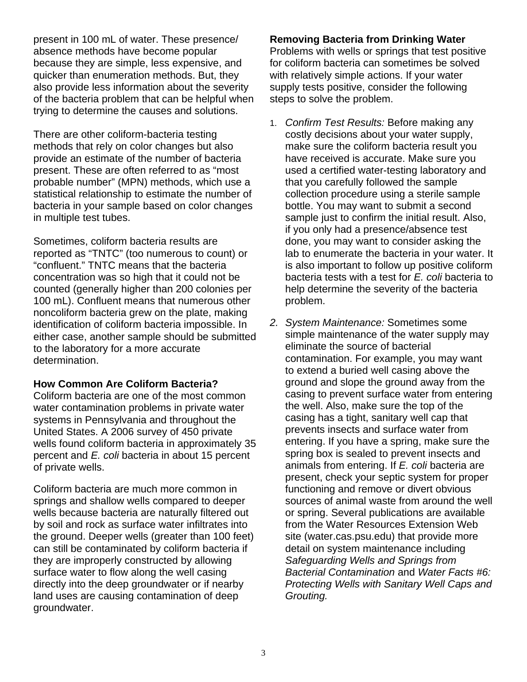present in 100 mL of water. These presence/ absence methods have become popular because they are simple, less expensive, and quicker than enumeration methods. But, they also provide less information about the severity of the bacteria problem that can be helpful when trying to determine the causes and solutions.

There are other coliform-bacteria testing methods that rely on color changes but also provide an estimate of the number of bacteria present. These are often referred to as "most probable number" (MPN) methods, which use a statistical relationship to estimate the number of bacteria in your sample based on color changes in multiple test tubes.

Sometimes, coliform bacteria results are reported as "TNTC" (too numerous to count) or "confluent." TNTC means that the bacteria concentration was so high that it could not be counted (generally higher than 200 colonies per 100 mL). Confluent means that numerous other noncoliform bacteria grew on the plate, making identification of coliform bacteria impossible. In either case, another sample should be submitted to the laboratory for a more accurate determination.

## **How Common Are Coliform Bacteria?**

Coliform bacteria are one of the most common water contamination problems in private water systems in Pennsylvania and throughout the United States. A 2006 survey of 450 private wells found coliform bacteria in approximately 35 percent and *E. coli* bacteria in about 15 percent of private wells.

Coliform bacteria are much more common in springs and shallow wells compared to deeper wells because bacteria are naturally filtered out by soil and rock as surface water infiltrates into the ground. Deeper wells (greater than 100 feet) can still be contaminated by coliform bacteria if they are improperly constructed by allowing surface water to flow along the well casing directly into the deep groundwater or if nearby land uses are causing contamination of deep groundwater.

**Removing Bacteria from Drinking Water**  Problems with wells or springs that test positive for coliform bacteria can sometimes be solved with relatively simple actions. If your water supply tests positive, consider the following steps to solve the problem.

- 1. *Confirm Test Results:* Before making any costly decisions about your water supply, make sure the coliform bacteria result you have received is accurate. Make sure you used a certified water-testing laboratory and that you carefully followed the sample collection procedure using a sterile sample bottle. You may want to submit a second sample just to confirm the initial result. Also, if you only had a presence/absence test done, you may want to consider asking the lab to enumerate the bacteria in your water. It is also important to follow up positive coliform bacteria tests with a test for *E. coli* bacteria to help determine the severity of the bacteria problem.
- *2. System Maintenance:* Sometimes some simple maintenance of the water supply may eliminate the source of bacterial contamination. For example, you may want to extend a buried well casing above the ground and slope the ground away from the casing to prevent surface water from entering the well. Also, make sure the top of the casing has a tight, sanitary well cap that prevents insects and surface water from entering. If you have a spring, make sure the spring box is sealed to prevent insects and animals from entering. If *E. coli* bacteria are present, check your septic system for proper functioning and remove or divert obvious sources of animal waste from around the well or spring. Several publications are available from the Water Resources Extension Web site (water.cas.psu.edu) that provide more detail on system maintenance including *Safeguarding Wells and Springs from Bacterial Contamination* and *Water Facts #6: Protecting Wells with Sanitary Well Caps and Grouting.*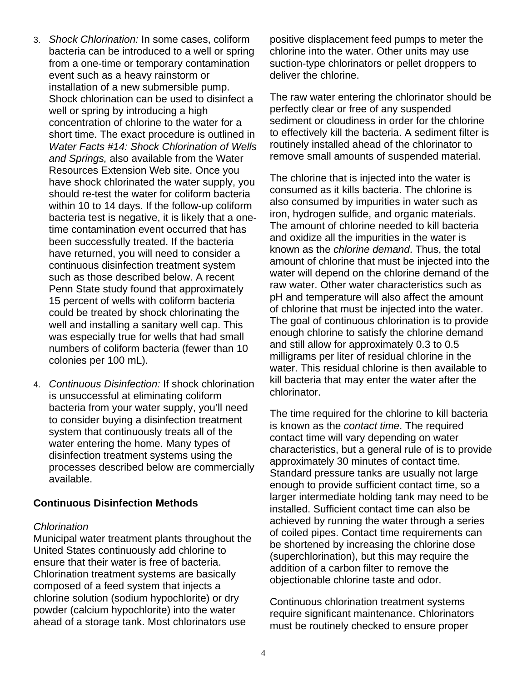- 3. *Shock Chlorination:* In some cases, coliform bacteria can be introduced to a well or spring from a one-time or temporary contamination event such as a heavy rainstorm or installation of a new submersible pump. Shock chlorination can be used to disinfect a well or spring by introducing a high concentration of chlorine to the water for a short time. The exact procedure is outlined in *Water Facts #14: Shock Chlorination of Wells and Springs,* also available from the Water Resources Extension Web site. Once you have shock chlorinated the water supply, you should re-test the water for coliform bacteria within 10 to 14 days. If the follow-up coliform bacteria test is negative, it is likely that a onetime contamination event occurred that has been successfully treated. If the bacteria have returned, you will need to consider a continuous disinfection treatment system such as those described below. A recent Penn State study found that approximately 15 percent of wells with coliform bacteria could be treated by shock chlorinating the well and installing a sanitary well cap. This was especially true for wells that had small numbers of coliform bacteria (fewer than 10 colonies per 100 mL).
- 4. *Continuous Disinfection:* If shock chlorination is unsuccessful at eliminating coliform bacteria from your water supply, you'll need to consider buying a disinfection treatment system that continuously treats all of the water entering the home. Many types of disinfection treatment systems using the processes described below are commercially available.

## **Continuous Disinfection Methods**

#### *Chlorination*

Municipal water treatment plants throughout the United States continuously add chlorine to ensure that their water is free of bacteria. Chlorination treatment systems are basically composed of a feed system that injects a chlorine solution (sodium hypochlorite) or dry powder (calcium hypochlorite) into the water ahead of a storage tank. Most chlorinators use

positive displacement feed pumps to meter the chlorine into the water. Other units may use suction-type chlorinators or pellet droppers to deliver the chlorine.

The raw water entering the chlorinator should be perfectly clear or free of any suspended sediment or cloudiness in order for the chlorine to effectively kill the bacteria. A sediment filter is routinely installed ahead of the chlorinator to remove small amounts of suspended material.

The chlorine that is injected into the water is consumed as it kills bacteria. The chlorine is also consumed by impurities in water such as iron, hydrogen sulfide, and organic materials. The amount of chlorine needed to kill bacteria and oxidize all the impurities in the water is known as the *chlorine demand*. Thus, the total amount of chlorine that must be injected into the water will depend on the chlorine demand of the raw water. Other water characteristics such as pH and temperature will also affect the amount of chlorine that must be injected into the water. The goal of continuous chlorination is to provide enough chlorine to satisfy the chlorine demand and still allow for approximately 0.3 to 0.5 milligrams per liter of residual chlorine in the water. This residual chlorine is then available to kill bacteria that may enter the water after the chlorinator.

The time required for the chlorine to kill bacteria is known as the *contact time*. The required contact time will vary depending on water characteristics, but a general rule of is to provide approximately 30 minutes of contact time. Standard pressure tanks are usually not large enough to provide sufficient contact time, so a larger intermediate holding tank may need to be installed. Sufficient contact time can also be achieved by running the water through a series of coiled pipes. Contact time requirements can be shortened by increasing the chlorine dose (superchlorination), but this may require the addition of a carbon filter to remove the objectionable chlorine taste and odor.

Continuous chlorination treatment systems require significant maintenance. Chlorinators must be routinely checked to ensure proper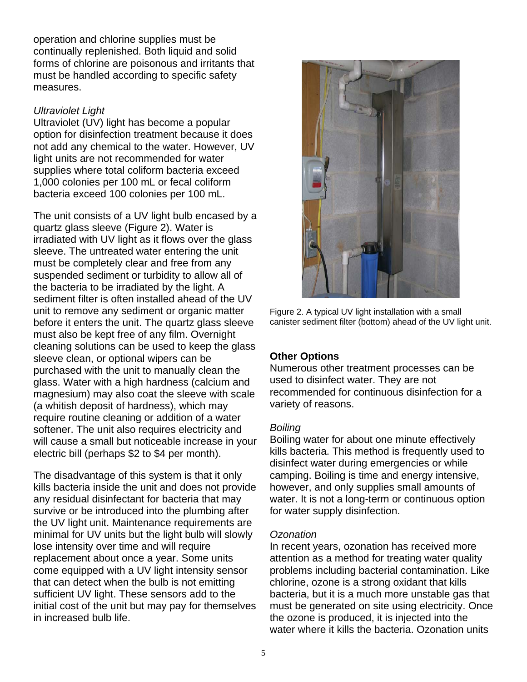operation and chlorine supplies must be continually replenished. Both liquid and solid forms of chlorine are poisonous and irritants that must be handled according to specific safety measures.

## *Ultraviolet Light*

Ultraviolet (UV) light has become a popular option for disinfection treatment because it does not add any chemical to the water. However, UV light units are not recommended for water supplies where total coliform bacteria exceed 1,000 colonies per 100 mL or fecal coliform bacteria exceed 100 colonies per 100 mL.

The unit consists of a UV light bulb encased by a quartz glass sleeve (Figure 2). Water is irradiated with UV light as it flows over the glass sleeve. The untreated water entering the unit must be completely clear and free from any suspended sediment or turbidity to allow all of the bacteria to be irradiated by the light. A sediment filter is often installed ahead of the UV unit to remove any sediment or organic matter before it enters the unit. The quartz glass sleeve must also be kept free of any film. Overnight cleaning solutions can be used to keep the glass sleeve clean, or optional wipers can be purchased with the unit to manually clean the glass. Water with a high hardness (calcium and magnesium) may also coat the sleeve with scale (a whitish deposit of hardness), which may require routine cleaning or addition of a water softener. The unit also requires electricity and will cause a small but noticeable increase in your electric bill (perhaps \$2 to \$4 per month).

The disadvantage of this system is that it only kills bacteria inside the unit and does not provide any residual disinfectant for bacteria that may survive or be introduced into the plumbing after the UV light unit. Maintenance requirements are minimal for UV units but the light bulb will slowly lose intensity over time and will require replacement about once a year. Some units come equipped with a UV light intensity sensor that can detect when the bulb is not emitting sufficient UV light. These sensors add to the initial cost of the unit but may pay for themselves in increased bulb life.



Figure 2. A typical UV light installation with a small canister sediment filter (bottom) ahead of the UV light unit.

## **Other Options**

Numerous other treatment processes can be used to disinfect water. They are not recommended for continuous disinfection for a variety of reasons.

## *Boiling*

Boiling water for about one minute effectively kills bacteria. This method is frequently used to disinfect water during emergencies or while camping. Boiling is time and energy intensive, however, and only supplies small amounts of water. It is not a long-term or continuous option for water supply disinfection.

## *Ozonation*

In recent years, ozonation has received more attention as a method for treating water quality problems including bacterial contamination. Like chlorine, ozone is a strong oxidant that kills bacteria, but it is a much more unstable gas that must be generated on site using electricity. Once the ozone is produced, it is injected into the water where it kills the bacteria. Ozonation units